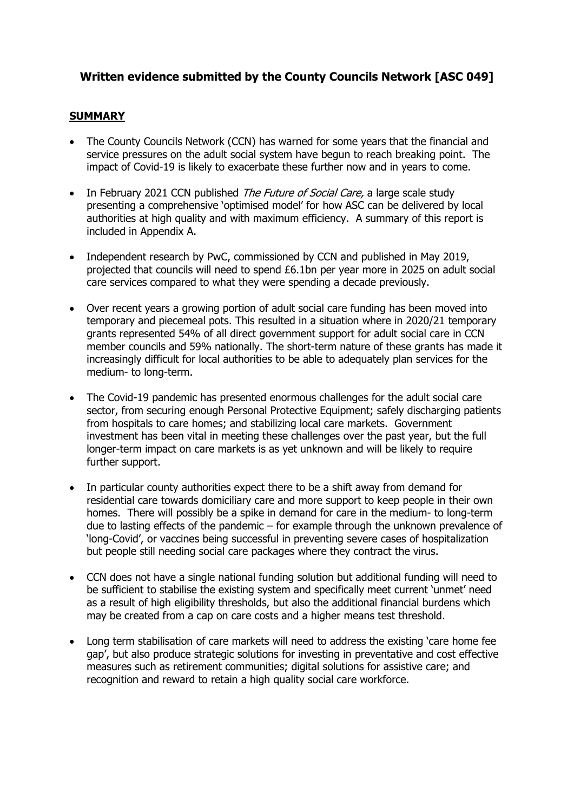### **Written evidence submitted by the County Councils Network [ASC 049]**

#### **SUMMARY**

- The County Councils Network (CCN) has warned for some years that the financial and service pressures on the adult social system have begun to reach breaking point. The impact of Covid-19 is likely to exacerbate these further now and in years to come.
- In February 2021 CCN published *The Future of Social Care,* a large scale study presenting a comprehensive 'optimised model' for how ASC can be delivered by local authorities at high quality and with maximum efficiency. A summary of this report is included in Appendix A.
- Independent research by PwC, commissioned by CCN and published in May 2019, projected that councils will need to spend £6.1bn per year more in 2025 on adult social care services compared to what they were spending a decade previously.
- Over recent years a growing portion of adult social care funding has been moved into temporary and piecemeal pots. This resulted in a situation where in 2020/21 temporary grants represented 54% of all direct government support for adult social care in CCN member councils and 59% nationally. The short-term nature of these grants has made it increasingly difficult for local authorities to be able to adequately plan services for the medium- to long-term.
- The Covid-19 pandemic has presented enormous challenges for the adult social care sector, from securing enough Personal Protective Equipment; safely discharging patients from hospitals to care homes; and stabilizing local care markets. Government investment has been vital in meeting these challenges over the past year, but the full longer-term impact on care markets is as yet unknown and will be likely to require further support.
- In particular county authorities expect there to be a shift away from demand for residential care towards domiciliary care and more support to keep people in their own homes. There will possibly be a spike in demand for care in the medium- to long-term due to lasting effects of the pandemic – for example through the unknown prevalence of 'long-Covid', or vaccines being successful in preventing severe cases of hospitalization but people still needing social care packages where they contract the virus.
- CCN does not have a single national funding solution but additional funding will need to be sufficient to stabilise the existing system and specifically meet current 'unmet' need as a result of high eligibility thresholds, but also the additional financial burdens which may be created from a cap on care costs and a higher means test threshold.
- Long term stabilisation of care markets will need to address the existing 'care home fee gap', but also produce strategic solutions for investing in preventative and cost effective measures such as retirement communities; digital solutions for assistive care; and recognition and reward to retain a high quality social care workforce.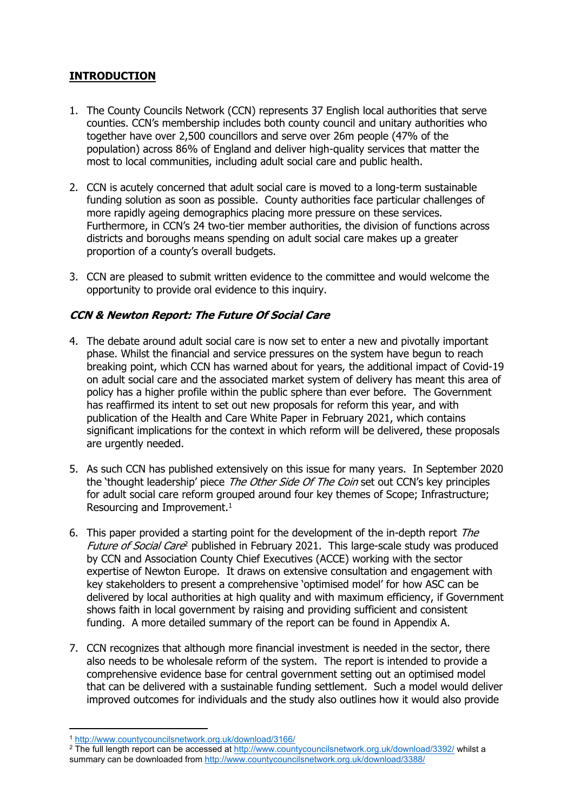### **INTRODUCTION**

- 1. The County Councils Network (CCN) represents 37 English local authorities that serve counties. CCN's membership includes both county council and unitary authorities who together have over 2,500 councillors and serve over 26m people (47% of the population) across 86% of England and deliver high-quality services that matter the most to local communities, including adult social care and public health.
- 2. CCN is acutely concerned that adult social care is moved to a long-term sustainable funding solution as soon as possible. County authorities face particular challenges of more rapidly ageing demographics placing more pressure on these services. Furthermore, in CCN's 24 two-tier member authorities, the division of functions across districts and boroughs means spending on adult social care makes up a greater proportion of a county's overall budgets.
- 3. CCN are pleased to submit written evidence to the committee and would welcome the opportunity to provide oral evidence to this inquiry.

### *CCN & Newton Report: The Future Of Social Care*

- 4. The debate around adult social care is now set to enter a new and pivotally important phase. Whilst the financial and service pressures on the system have begun to reach breaking point, which CCN has warned about for years, the additional impact of Covid-19 on adult social care and the associated market system of delivery has meant this area of policy has a higher profile within the public sphere than ever before. The Government has reaffirmed its intent to set out new proposals for reform this year, and with publication of the Health and Care White Paper in February 2021, which contains significant implications for the context in which reform will be delivered, these proposals are urgently needed.
- 5. As such CCN has published extensively on this issue for many years. In September 2020 the 'thought leadership' piece *The Other Side Of The Coin* set out CCN's key principles for adult social care reform grouped around four key themes of Scope; Infrastructure; Resourcing and Improvement.<sup>1</sup>
- 6. This paper provided a starting point for the development of the in-depth report *The Future of Social Care*<sup>2</sup> published in February 2021. This large-scale study was produced by CCN and Association County Chief Executives (ACCE) working with the sector expertise of Newton Europe. It draws on extensive consultation and engagement with key stakeholders to present a comprehensive 'optimised model' for how ASC can be delivered by local authorities at high quality and with maximum efficiency, if Government shows faith in local government by raising and providing sufficient and consistent funding. A more detailed summary of the report can be found in Appendix A.
- 7. CCN recognizes that although more financial investment is needed in the sector, there also needs to be wholesale reform of the system. The report is intended to provide a comprehensive evidence base for central government setting out an optimised model that can be delivered with a sustainable funding settlement. Such a model would deliver improved outcomes for individuals and the study also outlines how it would also provide

<sup>1</sup> <http://www.countycouncilsnetwork.org.uk/download/3166/>

<sup>2</sup> The full length report can be accessed at <http://www.countycouncilsnetwork.org.uk/download/3392/> whilst a summary can be downloaded from <http://www.countycouncilsnetwork.org.uk/download/3388/>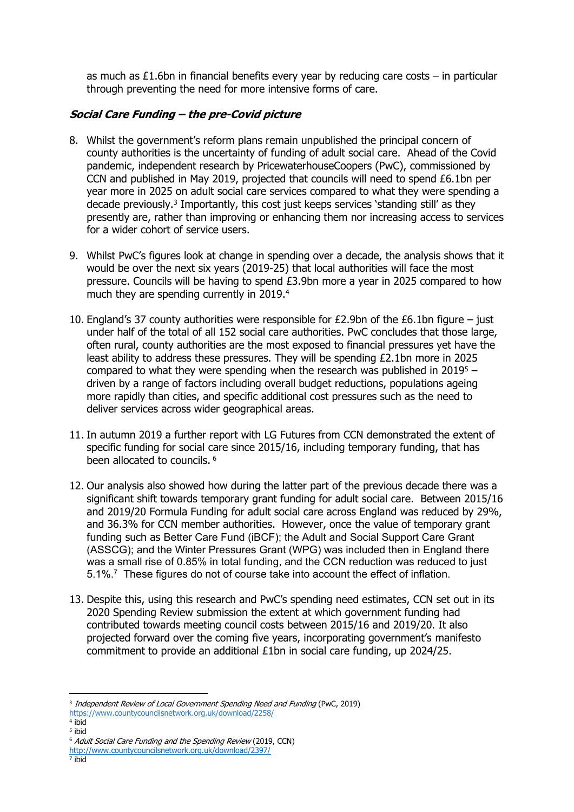as much as £1.6bn in financial benefits every year by reducing care costs – in particular through preventing the need for more intensive forms of care.

#### *Social Care Funding – the pre-Covid picture*

- 8. Whilst the government's reform plans remain unpublished the principal concern of county authorities is the uncertainty of funding of adult social care. Ahead of the Covid pandemic, independent research by PricewaterhouseCoopers (PwC), commissioned by CCN and published in May 2019, projected that councils will need to spend £6.1bn per year more in 2025 on adult social care services compared to what they were spending a decade previously.<sup>3</sup> Importantly, this cost just keeps services 'standing still' as they presently are, rather than improving or enhancing them nor increasing access to services for a wider cohort of service users.
- 9. Whilst PwC's figures look at change in spending over a decade, the analysis shows that it would be over the next six years (2019-25) that local authorities will face the most pressure. Councils will be having to spend £3.9bn more a year in 2025 compared to how much they are spending currently in 2019.<sup>4</sup>
- 10. England's 37 county authorities were responsible for  $E2.9$ bn of the  $E6.1$ bn figure just under half of the total of all 152 social care authorities. PwC concludes that those large, often rural, county authorities are the most exposed to financial pressures yet have the least ability to address these pressures. They will be spending £2.1bn more in 2025 compared to what they were spending when the research was published in  $2019<sup>5</sup>$  – driven by a range of factors including overall budget reductions, populations ageing more rapidly than cities, and specific additional cost pressures such as the need to deliver services across wider geographical areas.
- 11. In autumn 2019 a further report with LG Futures from CCN demonstrated the extent of specific funding for social care since 2015/16, including temporary funding, that has been allocated to councils. <sup>6</sup>
- 12. Our analysis also showed how during the latter part of the previous decade there was a significant shift towards temporary grant funding for adult social care. Between 2015/16 and 2019/20 Formula Funding for adult social care across England was reduced by 29%, and 36.3% for CCN member authorities. However, once the value of temporary grant funding such as Better Care Fund (iBCF); the Adult and Social Support Care Grant (ASSCG); and the Winter Pressures Grant (WPG) was included then in England there was a small rise of 0.85% in total funding, and the CCN reduction was reduced to just 5.1%.<sup>7</sup> These figures do not of course take into account the effect of inflation.
- 13. Despite this, using this research and PwC's spending need estimates, CCN set out in its 2020 Spending Review submission the extent at which government funding had contributed towards meeting council costs between 2015/16 and 2019/20. It also projected forward over the coming five years, incorporating government's manifesto commitment to provide an additional £1bn in social care funding, up 2024/25.

<sup>3</sup> *Independent Review of Local Government Spending Need and Funding* (PwC, 2019) [https://www.countycouncilsnetwork.org.uk/download/2258/](about:blank)

<sup>4</sup> ibid 5 ibid

<sup>6</sup> *Adult Social Care Funding and the Spending Review* (2019, CCN) [http://www.countycouncilsnetwork.org.uk/download/2397/](about:blank)

<sup>7</sup> ibid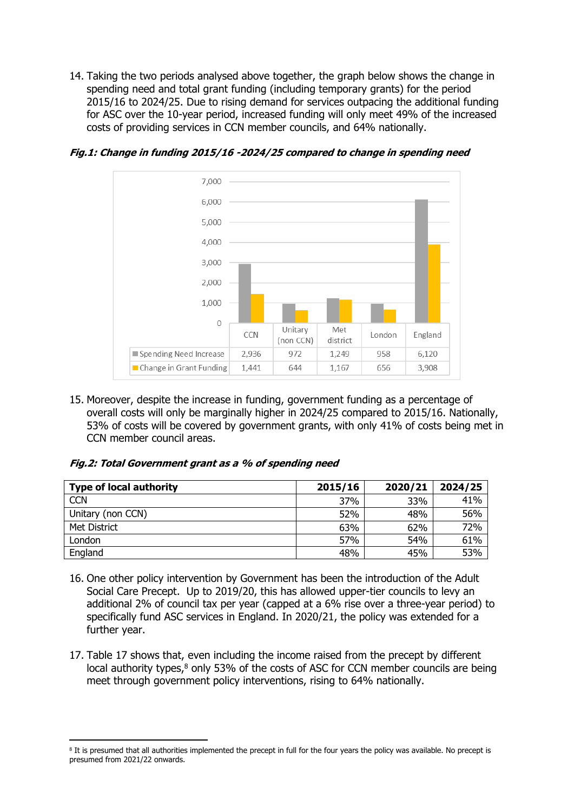14. Taking the two periods analysed above together, the graph below shows the change in spending need and total grant funding (including temporary grants) for the period 2015/16 to 2024/25. Due to rising demand for services outpacing the additional funding for ASC over the 10-year period, increased funding will only meet 49% of the increased costs of providing services in CCN member councils, and 64% nationally.



*Fig.1: Change in funding 2015/16 -2024/25 compared to change in spending need*

15. Moreover, despite the increase in funding, government funding as a percentage of overall costs will only be marginally higher in 2024/25 compared to 2015/16. Nationally, 53% of costs will be covered by government grants, with only 41% of costs being met in CCN member council areas.

#### *Fig.2: Total Government grant as <sup>a</sup> % of spending need*

| <b>Type of local authority</b> | 2015/16 | 2020/21 | 2024/25 |
|--------------------------------|---------|---------|---------|
| <b>CCN</b>                     | 37%     | 33%     | 41%     |
| Unitary (non CCN)              | 52%     | 48%     | 56%     |
| Met District                   | 63%     | 62%     | 72%     |
| London                         | 57%     | 54%     | 61%     |
| England                        | 48%     | 45%     | 53%     |

- 16. One other policy intervention by Government has been the introduction of the Adult Social Care Precept. Up to 2019/20, this has allowed upper-tier councils to levy an additional 2% of council tax per year (capped at a 6% rise over a three-year period) to specifically fund ASC services in England. In 2020/21, the policy was extended for a further year.
- 17. Table 17 shows that, even including the income raised from the precept by different local authority types,<sup>8</sup> only 53% of the costs of ASC for CCN member councils are being meet through government policy interventions, rising to 64% nationally.

<sup>8</sup> It is presumed that all authorities implemented the precept in full for the four years the policy was available. No precept is presumed from 2021/22 onwards.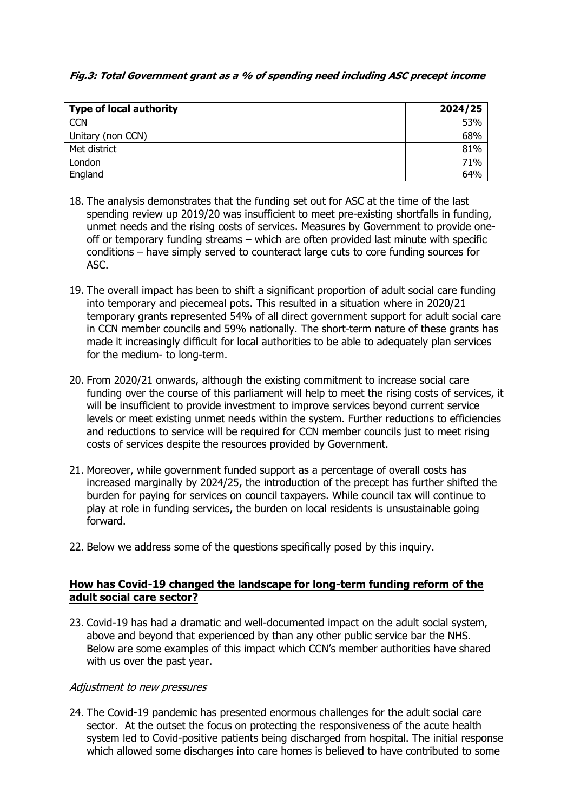#### *Fig.3: Total Government grant as <sup>a</sup> % of spending need including ASC precept income*

| <b>Type of local authority</b> | 2024/25 |
|--------------------------------|---------|
| <b>CCN</b>                     | 53%     |
| Unitary (non CCN)              | 68%     |
| Met district                   | 81%     |
| London                         | 71%     |
| England                        | 64%     |

- 18. The analysis demonstrates that the funding set out for ASC at the time of the last spending review up 2019/20 was insufficient to meet pre-existing shortfalls in funding, unmet needs and the rising costs of services. Measures by Government to provide oneoff or temporary funding streams – which are often provided last minute with specific conditions – have simply served to counteract large cuts to core funding sources for ASC.
- 19. The overall impact has been to shift a significant proportion of adult social care funding into temporary and piecemeal pots. This resulted in a situation where in 2020/21 temporary grants represented 54% of all direct government support for adult social care in CCN member councils and 59% nationally. The short-term nature of these grants has made it increasingly difficult for local authorities to be able to adequately plan services for the medium- to long-term.
- 20. From 2020/21 onwards, although the existing commitment to increase social care funding over the course of this parliament will help to meet the rising costs of services, it will be insufficient to provide investment to improve services beyond current service levels or meet existing unmet needs within the system. Further reductions to efficiencies and reductions to service will be required for CCN member councils just to meet rising costs of services despite the resources provided by Government.
- 21. Moreover, while government funded support as a percentage of overall costs has increased marginally by 2024/25, the introduction of the precept has further shifted the burden for paying for services on council taxpayers. While council tax will continue to play at role in funding services, the burden on local residents is unsustainable going forward.
- 22. Below we address some of the questions specifically posed by this inquiry.

#### **How has Covid-19 changed the landscape for long-term funding reform of the adult social care sector?**

23. Covid-19 has had a dramatic and well-documented impact on the adult social system, above and beyond that experienced by than any other public service bar the NHS. Below are some examples of this impact which CCN's member authorities have shared with us over the past year.

#### *Adjustment to new pressures*

24. The Covid-19 pandemic has presented enormous challenges for the adult social care sector. At the outset the focus on protecting the responsiveness of the acute health system led to Covid-positive patients being discharged from hospital. The initial response which allowed some discharges into care homes is believed to have contributed to some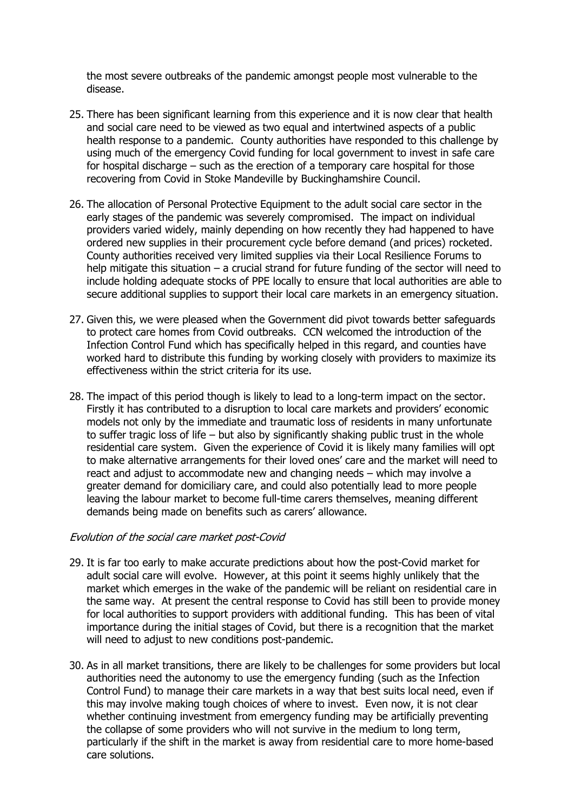the most severe outbreaks of the pandemic amongst people most vulnerable to the disease.

- 25. There has been significant learning from this experience and it is now clear that health and social care need to be viewed as two equal and intertwined aspects of a public health response to a pandemic. County authorities have responded to this challenge by using much of the emergency Covid funding for local government to invest in safe care for hospital discharge – such as the erection of a temporary care hospital for those recovering from Covid in Stoke Mandeville by Buckinghamshire Council.
- 26. The allocation of Personal Protective Equipment to the adult social care sector in the early stages of the pandemic was severely compromised. The impact on individual providers varied widely, mainly depending on how recently they had happened to have ordered new supplies in their procurement cycle before demand (and prices) rocketed. County authorities received very limited supplies via their Local Resilience Forums to help mitigate this situation – a crucial strand for future funding of the sector will need to include holding adequate stocks of PPE locally to ensure that local authorities are able to secure additional supplies to support their local care markets in an emergency situation.
- 27. Given this, we were pleased when the Government did pivot towards better safeguards to protect care homes from Covid outbreaks. CCN welcomed the introduction of the Infection Control Fund which has specifically helped in this regard, and counties have worked hard to distribute this funding by working closely with providers to maximize its effectiveness within the strict criteria for its use.
- 28. The impact of this period though is likely to lead to a long-term impact on the sector. Firstly it has contributed to a disruption to local care markets and providers' economic models not only by the immediate and traumatic loss of residents in many unfortunate to suffer tragic loss of life – but also by significantly shaking public trust in the whole residential care system. Given the experience of Covid it is likely many families will opt to make alternative arrangements for their loved ones' care and the market will need to react and adjust to accommodate new and changing needs – which may involve a greater demand for domiciliary care, and could also potentially lead to more people leaving the labour market to become full-time carers themselves, meaning different demands being made on benefits such as carers' allowance.

#### *Evolution of the social care market post-Covid*

- 29. It is far too early to make accurate predictions about how the post-Covid market for adult social care will evolve. However, at this point it seems highly unlikely that the market which emerges in the wake of the pandemic will be reliant on residential care in the same way. At present the central response to Covid has still been to provide money for local authorities to support providers with additional funding. This has been of vital importance during the initial stages of Covid, but there is a recognition that the market will need to adjust to new conditions post-pandemic.
- 30. As in all market transitions, there are likely to be challenges for some providers but local authorities need the autonomy to use the emergency funding (such as the Infection Control Fund) to manage their care markets in a way that best suits local need, even if this may involve making tough choices of where to invest. Even now, it is not clear whether continuing investment from emergency funding may be artificially preventing the collapse of some providers who will not survive in the medium to long term, particularly if the shift in the market is away from residential care to more home-based care solutions.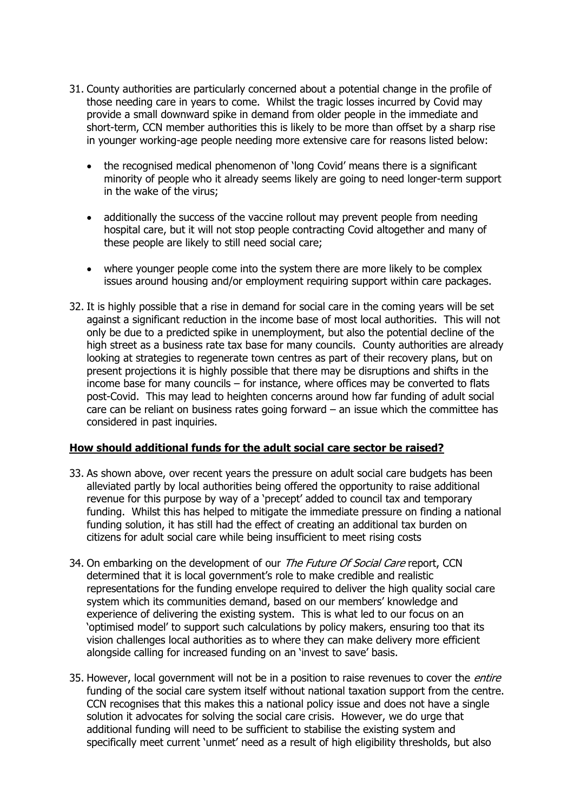- 31. County authorities are particularly concerned about a potential change in the profile of those needing care in years to come. Whilst the tragic losses incurred by Covid may provide a small downward spike in demand from older people in the immediate and short-term, CCN member authorities this is likely to be more than offset by a sharp rise in younger working-age people needing more extensive care for reasons listed below:
	- the recognised medical phenomenon of 'long Covid' means there is a significant minority of people who it already seems likely are going to need longer-term support in the wake of the virus;
	- additionally the success of the vaccine rollout may prevent people from needing hospital care, but it will not stop people contracting Covid altogether and many of these people are likely to still need social care;
	- where younger people come into the system there are more likely to be complex issues around housing and/or employment requiring support within care packages.
- 32. It is highly possible that a rise in demand for social care in the coming years will be set against a significant reduction in the income base of most local authorities. This will not only be due to a predicted spike in unemployment, but also the potential decline of the high street as a business rate tax base for many councils. County authorities are already looking at strategies to regenerate town centres as part of their recovery plans, but on present projections it is highly possible that there may be disruptions and shifts in the income base for many councils – for instance, where offices may be converted to flats post-Covid. This may lead to heighten concerns around how far funding of adult social care can be reliant on business rates going forward – an issue which the committee has considered in past inquiries.

#### **How should additional funds for the adult social care sector be raised?**

- 33. As shown above, over recent years the pressure on adult social care budgets has been alleviated partly by local authorities being offered the opportunity to raise additional revenue for this purpose by way of a 'precept' added to council tax and temporary funding. Whilst this has helped to mitigate the immediate pressure on finding a national funding solution, it has still had the effect of creating an additional tax burden on citizens for adult social care while being insufficient to meet rising costs
- 34. On embarking on the development of our *The Future Of Social Care* report, CCN determined that it is local government's role to make credible and realistic representations for the funding envelope required to deliver the high quality social care system which its communities demand, based on our members' knowledge and experience of delivering the existing system. This is what led to our focus on an 'optimised model' to support such calculations by policy makers, ensuring too that its vision challenges local authorities as to where they can make delivery more efficient alongside calling for increased funding on an 'invest to save' basis.
- 35. However, local government will not be in a position to raise revenues to cover the *entire* funding of the social care system itself without national taxation support from the centre. CCN recognises that this makes this a national policy issue and does not have a single solution it advocates for solving the social care crisis. However, we do urge that additional funding will need to be sufficient to stabilise the existing system and specifically meet current 'unmet' need as a result of high eligibility thresholds, but also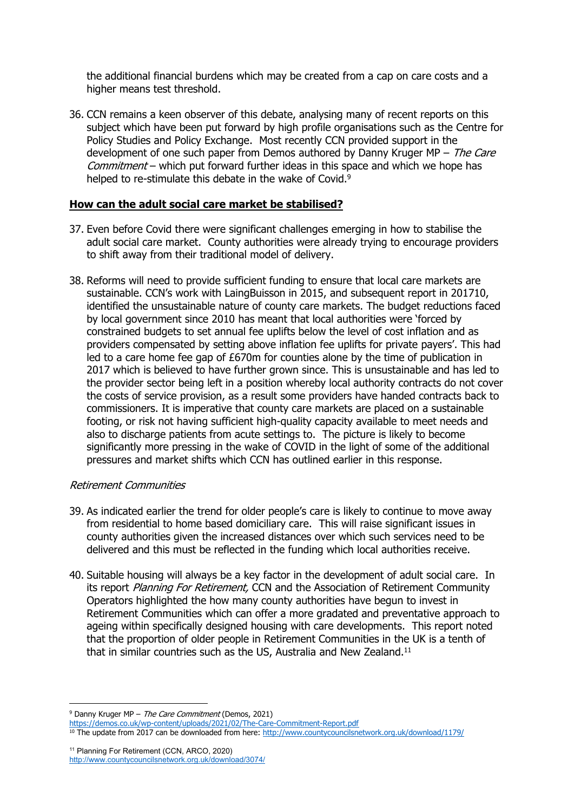the additional financial burdens which may be created from a cap on care costs and a higher means test threshold.

36. CCN remains a keen observer of this debate, analysing many of recent reports on this subject which have been put forward by high profile organisations such as the Centre for Policy Studies and Policy Exchange. Most recently CCN provided support in the development of one such paper from Demos authored by Danny Kruger MP – *The Care Commitment* – which put forward further ideas in this space and which we hope has helped to re-stimulate this debate in the wake of Covid.<sup>9</sup>

#### **How can the adult social care market be stabilised?**

- 37. Even before Covid there were significant challenges emerging in how to stabilise the adult social care market. County authorities were already trying to encourage providers to shift away from their traditional model of delivery.
- 38. Reforms will need to provide sufficient funding to ensure that local care markets are sustainable. CCN's work with LaingBuisson in 2015, and subsequent report in 201710, identified the unsustainable nature of county care markets. The budget reductions faced by local government since 2010 has meant that local authorities were 'forced by constrained budgets to set annual fee uplifts below the level of cost inflation and as providers compensated by setting above inflation fee uplifts for private payers'. This had led to a care home fee gap of £670m for counties alone by the time of publication in 2017 which is believed to have further grown since. This is unsustainable and has led to the provider sector being left in a position whereby local authority contracts do not cover the costs of service provision, as a result some providers have handed contracts back to commissioners. It is imperative that county care markets are placed on a sustainable footing, or risk not having sufficient high-quality capacity available to meet needs and also to discharge patients from acute settings to. The picture is likely to become significantly more pressing in the wake of COVID in the light of some of the additional pressures and market shifts which CCN has outlined earlier in this response.

#### *Retirement Communities*

- 39. As indicated earlier the trend for older people's care is likely to continue to move away from residential to home based domiciliary care. This will raise significant issues in county authorities given the increased distances over which such services need to be delivered and this must be reflected in the funding which local authorities receive.
- 40. Suitable housing will always be a key factor in the development of adult social care. In its report *Planning For Retirement,* CCN and the Association of Retirement Community Operators highlighted the how many county authorities have begun to invest in Retirement Communities which can offer a more gradated and preventative approach to ageing within specifically designed housing with care developments. This report noted that the proportion of older people in Retirement Communities in the UK is a tenth of that in similar countries such as the US, Australia and New Zealand.<sup>11</sup>

<sup>9</sup> Danny Kruger MP – *The Care Commitment* (Demos, 2021)

[https://demos.co.uk/wp-content/uploads/2021/02/The-Care-Commitment-Report.pdf](about:blank)

<sup>10</sup> The update from 2017 can be downloaded from here: <http://www.countycouncilsnetwork.org.uk/download/1179/>

<sup>11</sup> Planning For Retirement (CCN, ARCO, 2020) [http://www.countycouncilsnetwork.org.uk/download/3074/](about:blank)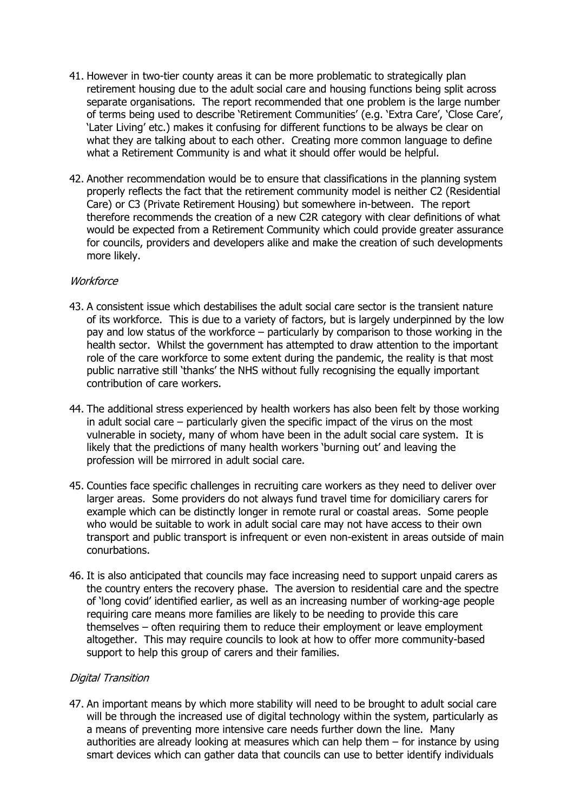- 41. However in two-tier county areas it can be more problematic to strategically plan retirement housing due to the adult social care and housing functions being split across separate organisations. The report recommended that one problem is the large number of terms being used to describe 'Retirement Communities' (e.g. 'Extra Care', 'Close Care', 'Later Living' etc.) makes it confusing for different functions to be always be clear on what they are talking about to each other. Creating more common language to define what a Retirement Community is and what it should offer would be helpful.
- 42. Another recommendation would be to ensure that classifications in the planning system properly reflects the fact that the retirement community model is neither C2 (Residential Care) or C3 (Private Retirement Housing) but somewhere in-between. The report therefore recommends the creation of a new C2R category with clear definitions of what would be expected from a Retirement Community which could provide greater assurance for councils, providers and developers alike and make the creation of such developments more likely.

#### *Workforce*

- 43. A consistent issue which destabilises the adult social care sector is the transient nature of its workforce. This is due to a variety of factors, but is largely underpinned by the low pay and low status of the workforce – particularly by comparison to those working in the health sector. Whilst the government has attempted to draw attention to the important role of the care workforce to some extent during the pandemic, the reality is that most public narrative still 'thanks' the NHS without fully recognising the equally important contribution of care workers.
- 44. The additional stress experienced by health workers has also been felt by those working in adult social care – particularly given the specific impact of the virus on the most vulnerable in society, many of whom have been in the adult social care system. It is likely that the predictions of many health workers 'burning out' and leaving the profession will be mirrored in adult social care.
- 45. Counties face specific challenges in recruiting care workers as they need to deliver over larger areas. Some providers do not always fund travel time for domiciliary carers for example which can be distinctly longer in remote rural or coastal areas. Some people who would be suitable to work in adult social care may not have access to their own transport and public transport is infrequent or even non-existent in areas outside of main conurbations.
- 46. It is also anticipated that councils may face increasing need to support unpaid carers as the country enters the recovery phase. The aversion to residential care and the spectre of 'long covid' identified earlier, as well as an increasing number of working-age people requiring care means more families are likely to be needing to provide this care themselves – often requiring them to reduce their employment or leave employment altogether. This may require councils to look at how to offer more community-based support to help this group of carers and their families.

#### *Digital Transition*

47. An important means by which more stability will need to be brought to adult social care will be through the increased use of digital technology within the system, particularly as a means of preventing more intensive care needs further down the line. Many authorities are already looking at measures which can help them – for instance by using smart devices which can gather data that councils can use to better identify individuals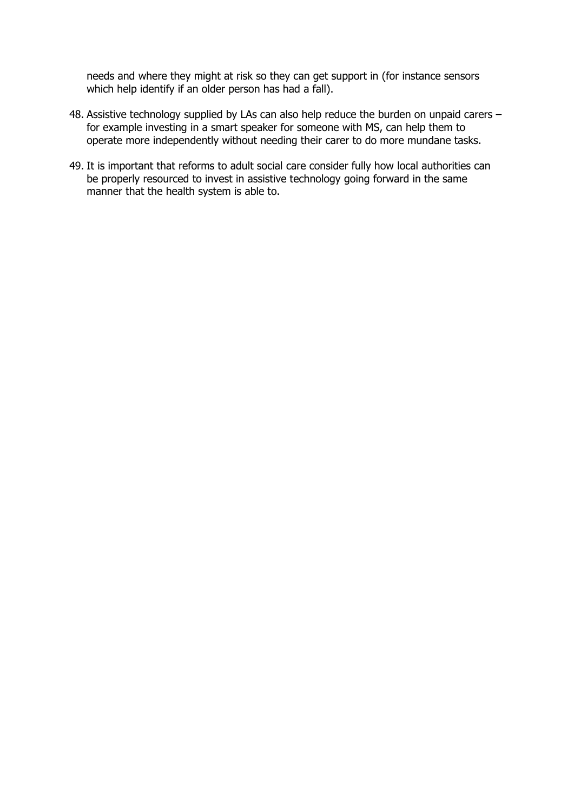needs and where they might at risk so they can get support in (for instance sensors which help identify if an older person has had a fall).

- 48. Assistive technology supplied by LAs can also help reduce the burden on unpaid carers for example investing in a smart speaker for someone with MS, can help them to operate more independently without needing their carer to do more mundane tasks.
- 49. It is important that reforms to adult social care consider fully how local authorities can be properly resourced to invest in assistive technology going forward in the same manner that the health system is able to.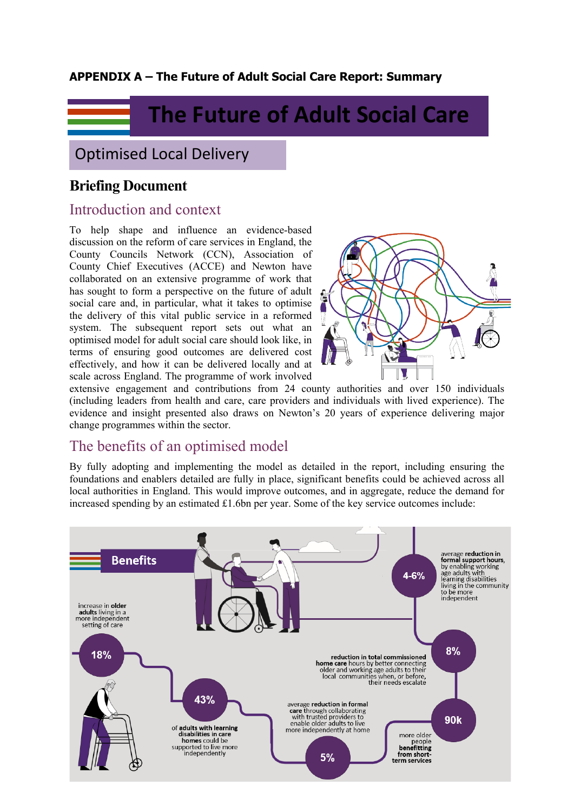### **APPENDIX A – The Future of Adult Social Care Report: Summary**

# **The Future of Adult Social Care**

# Optimised Local Delivery

# **Briefing Document**

## Introduction and context

To help shape and influence an evidence-based discussion on the reform of care services in England, the County Councils Network (CCN), Association of County Chief Executives (ACCE) and Newton have collaborated on an extensive programme of work that has sought to form a perspective on the future of adult social care and, in particular, what it takes to optimise the delivery of this vital public service in a reformed system. The subsequent report sets out what an optimised model for adult social care should look like, in terms of ensuring good outcomes are delivered cost effectively, and how it can be delivered locally and at scale across England. The programme of work involved



extensive engagement and contributions from 24 county authorities and over 150 individuals (including leaders from health and care, care providers and individuals with lived experience). The evidence and insight presented also draws on Newton's 20 years of experience delivering major change programmes within the sector.

# The benefits of an optimised model

By fully adopting and implementing the model as detailed in the report, including ensuring the foundations and enablers detailed are fully in place, significant benefits could be achieved across all local authorities in England. This would improve outcomes, and in aggregate, reduce the demand for increased spending by an estimated £1.6bn per year. Some of the key service outcomes include:

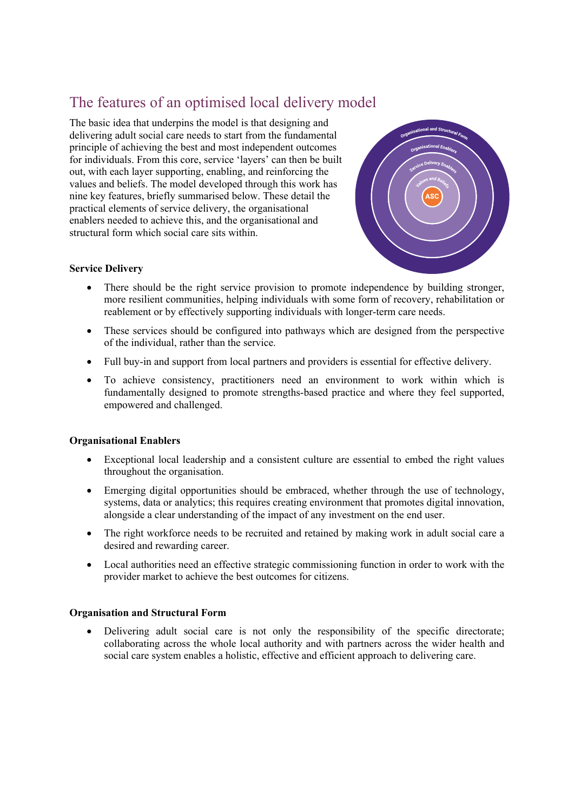# The features of an optimised local delivery model

The basic idea that underpins the model is that designing and delivering adult social care needs to start from the fundamental principle of achieving the best and most independent outcomes for individuals. From this core, service 'layers' can then be built out, with each layer supporting, enabling, and reinforcing the values and beliefs. The model developed through this work has nine key features, briefly summarised below. These detail the practical elements of service delivery, the organisational enablers needed to achieve this, and the organisational and structural form which social care sits within.



#### **Service Delivery**

- There should be the right service provision to promote independence by building stronger, more resilient communities, helping individuals with some form of recovery, rehabilitation or reablement or by effectively supporting individuals with longer-term care needs.
- These services should be configured into pathways which are designed from the perspective of the individual, rather than the service.
- Full buy-in and support from local partners and providers is essential for effective delivery.
- To achieve consistency, practitioners need an environment to work within which is fundamentally designed to promote strengths-based practice and where they feel supported, empowered and challenged.

#### **Organisational Enablers**

- Exceptional local leadership and a consistent culture are essential to embed the right values throughout the organisation.
- Emerging digital opportunities should be embraced, whether through the use of technology, systems, data or analytics; this requires creating environment that promotes digital innovation, alongside a clear understanding of the impact of any investment on the end user.
- The right workforce needs to be recruited and retained by making work in adult social care a desired and rewarding career.
- Local authorities need an effective strategic commissioning function in order to work with the provider market to achieve the best outcomes for citizens.

#### **Organisation and Structural Form**

 Delivering adult social care is not only the responsibility of the specific directorate; collaborating across the whole local authority and with partners across the wider health and social care system enables a holistic, effective and efficient approach to delivering care.